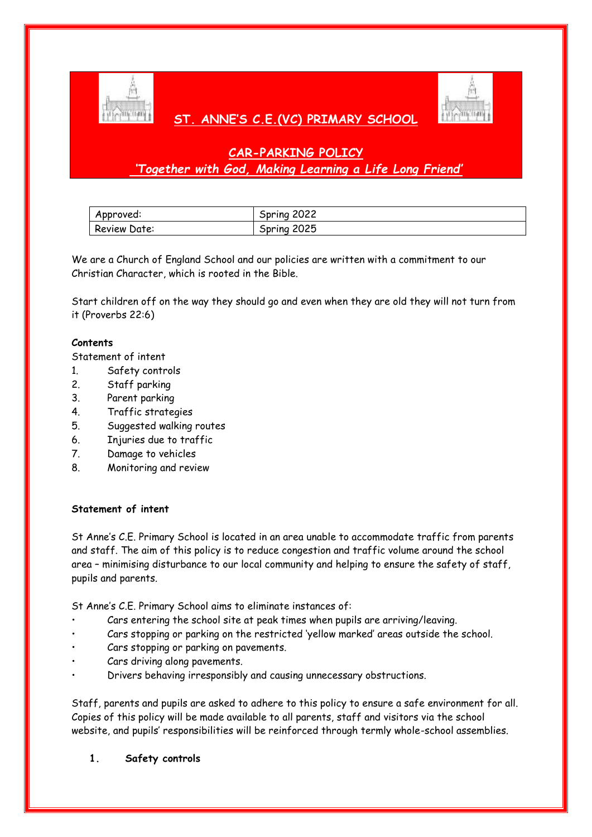

# **ST. ANNE'S C.E.(VC) PRIMARY SCHOOL**



# **CAR-PARKING POLICY** *'Together with God, Making Learning a Life Long Friend'*

| Approved:    | 2022<br><b>Spring</b> |
|--------------|-----------------------|
| Review Date: | Spring 2025           |

We are a Church of England School and our policies are written with a commitment to our Christian Character, which is rooted in the Bible.

Start children off on the way they should go and even when they are old they will not turn from it (Proverbs 22:6)

#### **Contents**

Statement of intent

- 1. Safety controls
- 2. Staff parking
- 3. Parent parking
- 4. Traffic strategies
- 5. Suggested walking routes
- 6. Injuries due to traffic
- 7. Damage to vehicles
- 8. Monitoring and review

#### **Statement of intent**

St Anne's C.E. Primary School is located in an area unable to accommodate traffic from parents and staff. The aim of this policy is to reduce congestion and traffic volume around the school area – minimising disturbance to our local community and helping to ensure the safety of staff, pupils and parents.

St Anne's C.E. Primary School aims to eliminate instances of:

- Cars entering the school site at peak times when pupils are arriving/leaving.
- Cars stopping or parking on the restricted 'yellow marked' areas outside the school.
- Cars stopping or parking on pavements.
- Cars driving along pavements.
- Drivers behaving irresponsibly and causing unnecessary obstructions.

Staff, parents and pupils are asked to adhere to this policy to ensure a safe environment for all. Copies of this policy will be made available to all parents, staff and visitors via the school website, and pupils' responsibilities will be reinforced through termly whole-school assemblies.

**1. Safety controls**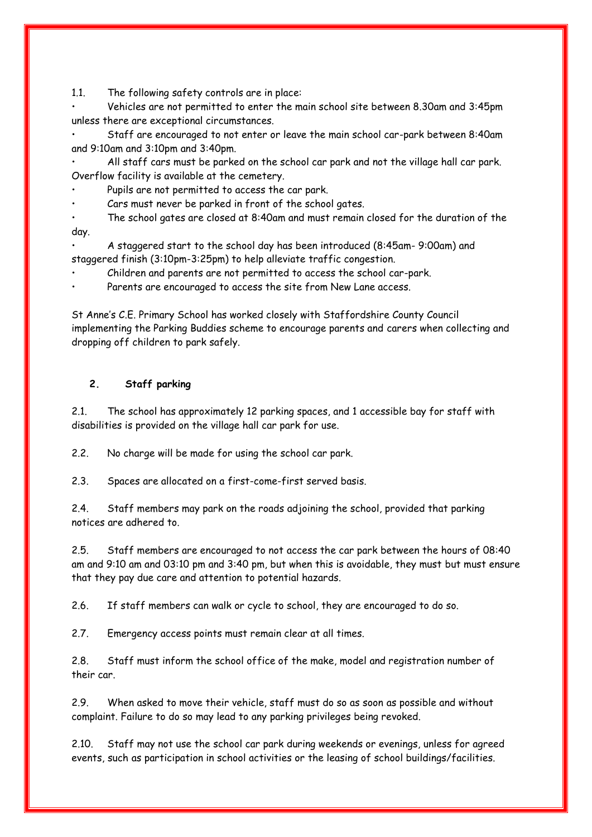1.1. The following safety controls are in place:

• Vehicles are not permitted to enter the main school site between 8.30am and 3:45pm unless there are exceptional circumstances.

• Staff are encouraged to not enter or leave the main school car-park between 8:40am and 9:10am and 3:10pm and 3:40pm.

• All staff cars must be parked on the school car park and not the village hall car park. Overflow facility is available at the cemetery.

Pupils are not permitted to access the car park.

Cars must never be parked in front of the school gates.

• The school gates are closed at 8:40am and must remain closed for the duration of the day.

• A staggered start to the school day has been introduced (8:45am- 9:00am) and staggered finish (3:10pm-3:25pm) to help alleviate traffic congestion.

• Children and parents are not permitted to access the school car-park.

Parents are encouraged to access the site from New Lane access.

St Anne's C.E. Primary School has worked closely with Staffordshire County Council implementing the Parking Buddies scheme to encourage parents and carers when collecting and dropping off children to park safely.

### **2. Staff parking**

2.1. The school has approximately 12 parking spaces, and 1 accessible bay for staff with disabilities is provided on the village hall car park for use.

2.2. No charge will be made for using the school car park.

2.3. Spaces are allocated on a first-come-first served basis.

2.4. Staff members may park on the roads adjoining the school, provided that parking notices are adhered to.

2.5. Staff members are encouraged to not access the car park between the hours of 08:40 am and 9:10 am and 03:10 pm and 3:40 pm, but when this is avoidable, they must but must ensure that they pay due care and attention to potential hazards.

2.6. If staff members can walk or cycle to school, they are encouraged to do so.

2.7. Emergency access points must remain clear at all times.

2.8. Staff must inform the school office of the make, model and registration number of their car.

2.9. When asked to move their vehicle, staff must do so as soon as possible and without complaint. Failure to do so may lead to any parking privileges being revoked.

2.10. Staff may not use the school car park during weekends or evenings, unless for agreed events, such as participation in school activities or the leasing of school buildings/facilities.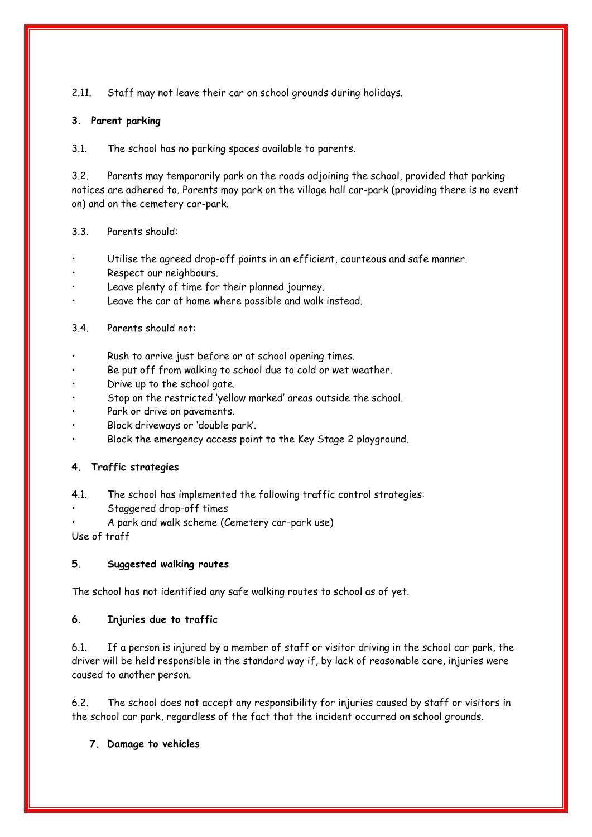2.11. Staff may not leave their car on school grounds during holidays.

## **3. Parent parking**

3.1. The school has no parking spaces available to parents.

3.2. Parents may temporarily park on the roads adjoining the school, provided that parking notices are adhered to. Parents may park on the village hall car-park (providing there is no event on) and on the cemetery car-park.

### 3.3. Parents should:

- Utilise the agreed drop-off points in an efficient, courteous and safe manner.
- Respect our neighbours.
- Leave plenty of time for their planned journey.
- Leave the car at home where possible and walk instead.

### 3.4. Parents should not:

- Rush to arrive just before or at school opening times.
- Be put off from walking to school due to cold or wet weather.
- Drive up to the school gate.
- Stop on the restricted 'yellow marked' areas outside the school.
- Park or drive on pavements.
- Block driveways or 'double park'.
- Block the emergency access point to the Key Stage 2 playground.

# **4. Traffic strategies**

- 4.1. The school has implemented the following traffic control strategies:
- Staggered drop-off times
- A park and walk scheme (Cemetery car-park use)

Use of traff

### **5. Suggested walking routes**

The school has not identified any safe walking routes to school as of yet.

# **6. Injuries due to traffic**

6.1. If a person is injured by a member of staff or visitor driving in the school car park, the driver will be held responsible in the standard way if, by lack of reasonable care, injuries were caused to another person.

6.2. The school does not accept any responsibility for injuries caused by staff or visitors in the school car park, regardless of the fact that the incident occurred on school grounds.

### **7. Damage to vehicles**